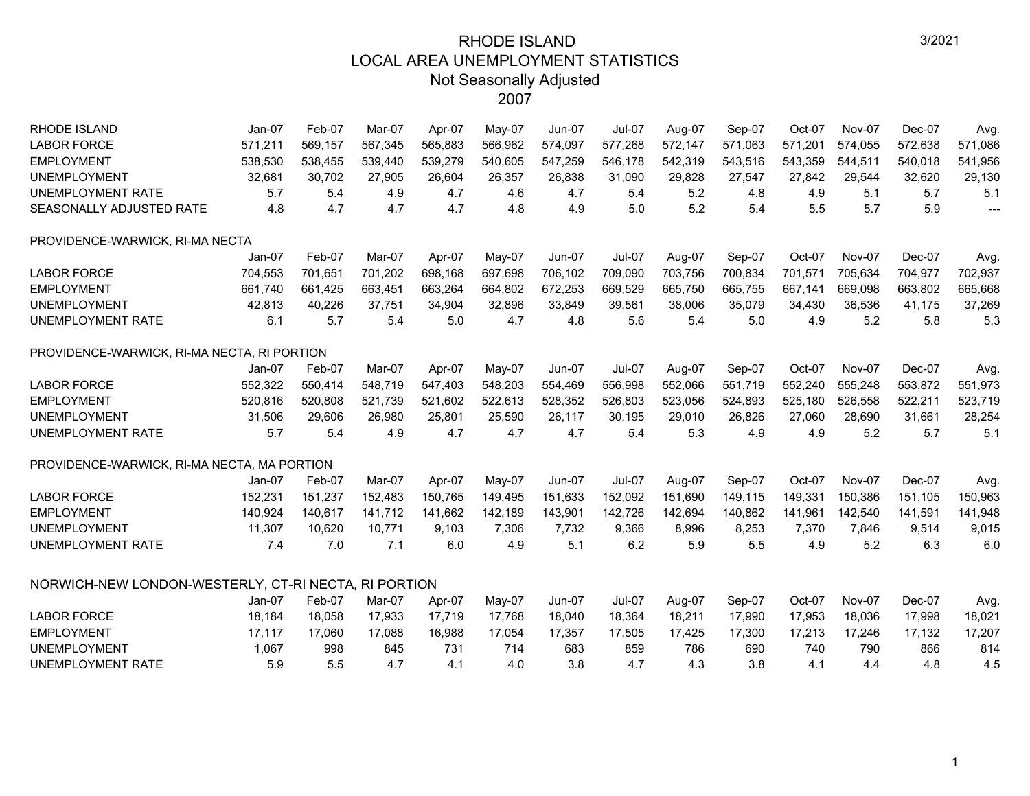| <b>RHODE ISLAND</b>                                  | $Jan-07$ | Feb-07  | Mar-07  | Apr-07  | May-07  | <b>Jun-07</b> | Jul-07        | Aug-07  | Sep-07  | Oct-07  | <b>Nov-07</b> | Dec-07  | Avg.                     |
|------------------------------------------------------|----------|---------|---------|---------|---------|---------------|---------------|---------|---------|---------|---------------|---------|--------------------------|
| <b>LABOR FORCE</b>                                   | 571,211  | 569,157 | 567,345 | 565,883 | 566,962 | 574,097       | 577,268       | 572,147 | 571,063 | 571,201 | 574,055       | 572,638 | 571,086                  |
| <b>EMPLOYMENT</b>                                    | 538,530  | 538,455 | 539,440 | 539,279 | 540,605 | 547,259       | 546,178       | 542,319 | 543,516 | 543,359 | 544,511       | 540,018 | 541,956                  |
| <b>UNEMPLOYMENT</b>                                  | 32,681   | 30,702  | 27,905  | 26,604  | 26,357  | 26,838        | 31,090        | 29,828  | 27,547  | 27,842  | 29,544        | 32,620  | 29,130                   |
| <b>UNEMPLOYMENT RATE</b>                             | 5.7      | 5.4     | 4.9     | 4.7     | 4.6     | 4.7           | 5.4           | 5.2     | 4.8     | 4.9     | 5.1           | 5.7     | 5.1                      |
| SEASONALLY ADJUSTED RATE                             | 4.8      | 4.7     | 4.7     | 4.7     | 4.8     | 4.9           | 5.0           | 5.2     | 5.4     | 5.5     | 5.7           | 5.9     | $\overline{\phantom{a}}$ |
| PROVIDENCE-WARWICK, RI-MA NECTA                      |          |         |         |         |         |               |               |         |         |         |               |         |                          |
|                                                      | Jan-07   | Feb-07  | Mar-07  | Apr-07  | May-07  | <b>Jun-07</b> | <b>Jul-07</b> | Aug-07  | Sep-07  | Oct-07  | <b>Nov-07</b> | Dec-07  | Avg.                     |
| <b>LABOR FORCE</b>                                   | 704,553  | 701,651 | 701,202 | 698,168 | 697,698 | 706,102       | 709,090       | 703,756 | 700,834 | 701,571 | 705,634       | 704,977 | 702,937                  |
| <b>EMPLOYMENT</b>                                    | 661,740  | 661,425 | 663,451 | 663,264 | 664,802 | 672,253       | 669,529       | 665,750 | 665,755 | 667,141 | 669,098       | 663,802 | 665,668                  |
| <b>UNEMPLOYMENT</b>                                  | 42,813   | 40,226  | 37,751  | 34,904  | 32,896  | 33,849        | 39,561        | 38,006  | 35,079  | 34,430  | 36,536        | 41,175  | 37,269                   |
| <b>UNEMPLOYMENT RATE</b>                             | 6.1      | 5.7     | 5.4     | 5.0     | 4.7     | 4.8           | 5.6           | 5.4     | 5.0     | 4.9     | 5.2           | 5.8     | 5.3                      |
| PROVIDENCE-WARWICK, RI-MA NECTA, RI PORTION          |          |         |         |         |         |               |               |         |         |         |               |         |                          |
|                                                      | $Jan-07$ | Feb-07  | Mar-07  | Apr-07  | May-07  | <b>Jun-07</b> | $Jul-07$      | Aug-07  | Sep-07  | Oct-07  | Nov-07        | Dec-07  | Avg.                     |
| <b>LABOR FORCE</b>                                   | 552,322  | 550,414 | 548,719 | 547,403 | 548,203 | 554,469       | 556,998       | 552,066 | 551,719 | 552,240 | 555,248       | 553,872 | 551,973                  |
| <b>EMPLOYMENT</b>                                    | 520,816  | 520,808 | 521,739 | 521,602 | 522,613 | 528,352       | 526,803       | 523,056 | 524,893 | 525,180 | 526,558       | 522,211 | 523,719                  |
| <b>UNEMPLOYMENT</b>                                  | 31,506   | 29,606  | 26,980  | 25,801  | 25,590  | 26,117        | 30,195        | 29,010  | 26,826  | 27,060  | 28,690        | 31,661  | 28,254                   |
| <b>UNEMPLOYMENT RATE</b>                             | 5.7      | 5.4     | 4.9     | 4.7     | 4.7     | 4.7           | 5.4           | 5.3     | 4.9     | 4.9     | 5.2           | 5.7     | 5.1                      |
| PROVIDENCE-WARWICK, RI-MA NECTA, MA PORTION          |          |         |         |         |         |               |               |         |         |         |               |         |                          |
|                                                      | $Jan-07$ | Feb-07  | Mar-07  | Apr-07  | May-07  | Jun-07        | $Jul-07$      | Aug-07  | Sep-07  | Oct-07  | <b>Nov-07</b> | Dec-07  | Avg.                     |
| <b>LABOR FORCE</b>                                   | 152,231  | 151,237 | 152,483 | 150,765 | 149,495 | 151,633       | 152,092       | 151,690 | 149,115 | 149,331 | 150,386       | 151,105 | 150,963                  |
| <b>EMPLOYMENT</b>                                    | 140,924  | 140,617 | 141,712 | 141,662 | 142,189 | 143,901       | 142,726       | 142,694 | 140,862 | 141,961 | 142,540       | 141,591 | 141,948                  |
| <b>UNEMPLOYMENT</b>                                  | 11,307   | 10,620  | 10,771  | 9,103   | 7,306   | 7,732         | 9,366         | 8,996   | 8,253   | 7,370   | 7,846         | 9,514   | 9,015                    |
| <b>UNEMPLOYMENT RATE</b>                             | 7.4      | 7.0     | 7.1     | 6.0     | 4.9     | 5.1           | 6.2           | 5.9     | 5.5     | 4.9     | 5.2           | 6.3     | 6.0                      |
| NORWICH-NEW LONDON-WESTERLY, CT-RI NECTA, RI PORTION |          |         |         |         |         |               |               |         |         |         |               |         |                          |
|                                                      | $Jan-07$ | Feb-07  | Mar-07  | Apr-07  | May-07  | $Jun-07$      | <b>Jul-07</b> | Aug-07  | Sep-07  | Oct-07  | <b>Nov-07</b> | Dec-07  | Avg.                     |
| <b>LABOR FORCE</b>                                   | 18,184   | 18,058  | 17,933  | 17,719  | 17,768  | 18,040        | 18,364        | 18,211  | 17,990  | 17,953  | 18,036        | 17,998  | 18,021                   |
| <b>EMPLOYMENT</b>                                    | 17,117   | 17,060  | 17,088  | 16,988  | 17,054  | 17,357        | 17,505        | 17,425  | 17,300  | 17,213  | 17,246        | 17,132  | 17,207                   |
| <b>UNEMPLOYMENT</b>                                  | 1,067    | 998     | 845     | 731     | 714     | 683           | 859           | 786     | 690     | 740     | 790           | 866     | 814                      |
| <b>UNEMPLOYMENT RATE</b>                             | 5.9      | 5.5     | 4.7     | 4.1     | 4.0     | 3.8           | 4.7           | 4.3     | 3.8     | 4.1     | 4.4           | 4.8     | 4.5                      |
|                                                      |          |         |         |         |         |               |               |         |         |         |               |         |                          |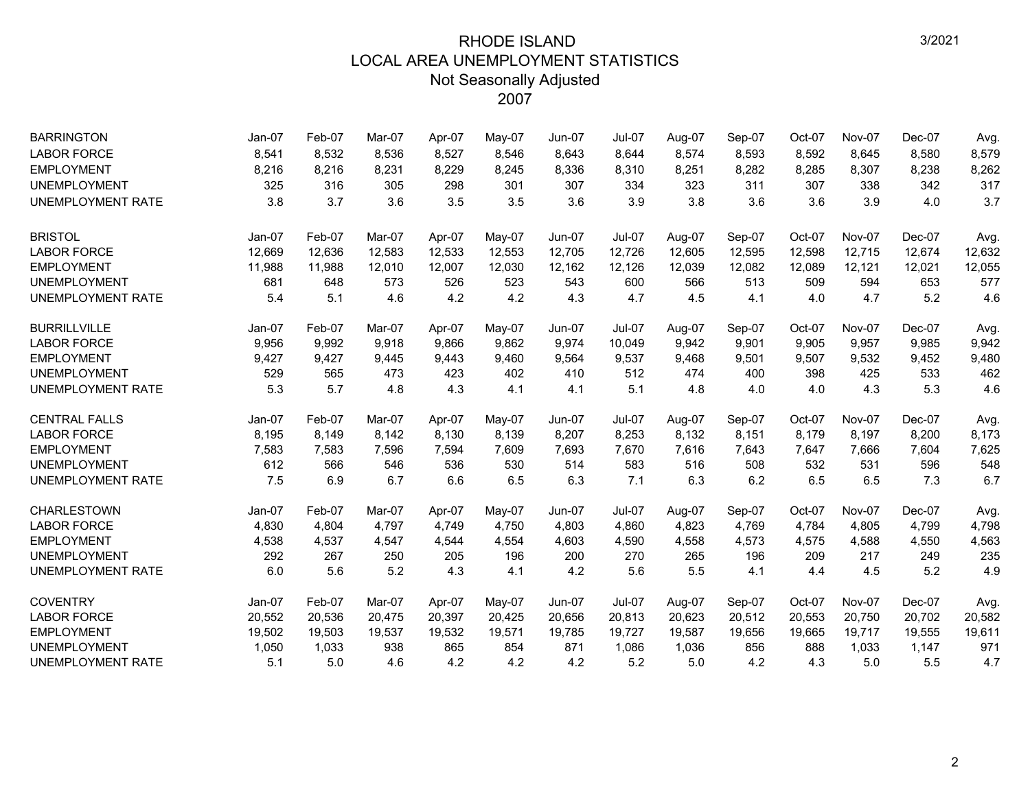| <b>BARRINGTON</b>        | $Jan-07$ | Feb-07 | Mar-07 | Apr-07 | May-07   | <b>Jun-07</b> | <b>Jul-07</b> | Aug-07 | Sep-07 | Oct-07 | Nov-07        | Dec-07 | Avg.   |
|--------------------------|----------|--------|--------|--------|----------|---------------|---------------|--------|--------|--------|---------------|--------|--------|
| <b>LABOR FORCE</b>       | 8,541    | 8,532  | 8,536  | 8,527  | 8,546    | 8,643         | 8,644         | 8,574  | 8,593  | 8,592  | 8,645         | 8,580  | 8,579  |
| <b>EMPLOYMENT</b>        | 8,216    | 8,216  | 8,231  | 8,229  | 8,245    | 8,336         | 8,310         | 8,251  | 8,282  | 8,285  | 8,307         | 8,238  | 8,262  |
| <b>UNEMPLOYMENT</b>      | 325      | 316    | 305    | 298    | 301      | 307           | 334           | 323    | 311    | 307    | 338           | 342    | 317    |
| <b>UNEMPLOYMENT RATE</b> | 3.8      | 3.7    | 3.6    | 3.5    | 3.5      | 3.6           | 3.9           | 3.8    | 3.6    | 3.6    | 3.9           | 4.0    | 3.7    |
| <b>BRISTOL</b>           | Jan-07   | Feb-07 | Mar-07 | Apr-07 | May-07   | Jun-07        | Jul-07        | Aug-07 | Sep-07 | Oct-07 | <b>Nov-07</b> | Dec-07 | Avg.   |
| <b>LABOR FORCE</b>       | 12,669   | 12,636 | 12,583 | 12,533 | 12,553   | 12,705        | 12,726        | 12,605 | 12,595 | 12,598 | 12,715        | 12,674 | 12,632 |
| <b>EMPLOYMENT</b>        | 11,988   | 11,988 | 12,010 | 12,007 | 12,030   | 12,162        | 12,126        | 12,039 | 12,082 | 12,089 | 12,121        | 12,021 | 12,055 |
| <b>UNEMPLOYMENT</b>      | 681      | 648    | 573    | 526    | 523      | 543           | 600           | 566    | 513    | 509    | 594           | 653    | 577    |
| <b>UNEMPLOYMENT RATE</b> | 5.4      | 5.1    | 4.6    | 4.2    | 4.2      | 4.3           | 4.7           | 4.5    | 4.1    | 4.0    | 4.7           | 5.2    | 4.6    |
| <b>BURRILLVILLE</b>      | Jan-07   | Feb-07 | Mar-07 | Apr-07 | $Mav-07$ | <b>Jun-07</b> | Jul-07        | Aug-07 | Sep-07 | Oct-07 | Nov-07        | Dec-07 | Avg.   |
| <b>LABOR FORCE</b>       | 9,956    | 9,992  | 9.918  | 9,866  | 9,862    | 9.974         | 10,049        | 9,942  | 9,901  | 9,905  | 9,957         | 9,985  | 9,942  |
| <b>EMPLOYMENT</b>        | 9,427    | 9,427  | 9,445  | 9,443  | 9,460    | 9,564         | 9,537         | 9,468  | 9,501  | 9,507  | 9,532         | 9,452  | 9,480  |
| <b>UNEMPLOYMENT</b>      | 529      | 565    | 473    | 423    | 402      | 410           | 512           | 474    | 400    | 398    | 425           | 533    | 462    |
| <b>UNEMPLOYMENT RATE</b> | 5.3      | 5.7    | 4.8    | 4.3    | 4.1      | 4.1           | 5.1           | 4.8    | 4.0    | 4.0    | 4.3           | 5.3    | 4.6    |
| <b>CENTRAL FALLS</b>     | $Jan-07$ | Feb-07 | Mar-07 | Apr-07 | May-07   | <b>Jun-07</b> | Jul-07        | Aug-07 | Sep-07 | Oct-07 | <b>Nov-07</b> | Dec-07 | Avg.   |
| <b>LABOR FORCE</b>       | 8,195    | 8,149  | 8,142  | 8,130  | 8,139    | 8,207         | 8,253         | 8,132  | 8,151  | 8,179  | 8,197         | 8,200  | 8,173  |
| <b>EMPLOYMENT</b>        | 7,583    | 7,583  | 7,596  | 7,594  | 7,609    | 7,693         | 7,670         | 7,616  | 7,643  | 7,647  | 7,666         | 7,604  | 7,625  |
| <b>UNEMPLOYMENT</b>      | 612      | 566    | 546    | 536    | 530      | 514           | 583           | 516    | 508    | 532    | 531           | 596    | 548    |
| UNEMPLOYMENT RATE        | 7.5      | 6.9    | 6.7    | 6.6    | 6.5      | 6.3           | 7.1           | 6.3    | 6.2    | 6.5    | 6.5           | 7.3    | 6.7    |
| <b>CHARLESTOWN</b>       | Jan-07   | Feb-07 | Mar-07 | Apr-07 | May-07   | <b>Jun-07</b> | <b>Jul-07</b> | Aug-07 | Sep-07 | Oct-07 | Nov-07        | Dec-07 | Avg.   |
| <b>LABOR FORCE</b>       | 4,830    | 4,804  | 4,797  | 4,749  | 4,750    | 4,803         | 4,860         | 4,823  | 4,769  | 4,784  | 4,805         | 4,799  | 4,798  |
| <b>EMPLOYMENT</b>        | 4,538    | 4,537  | 4,547  | 4,544  | 4,554    | 4,603         | 4,590         | 4,558  | 4,573  | 4,575  | 4,588         | 4,550  | 4,563  |
| <b>UNEMPLOYMENT</b>      | 292      | 267    | 250    | 205    | 196      | 200           | 270           | 265    | 196    | 209    | 217           | 249    | 235    |
| <b>UNEMPLOYMENT RATE</b> | 6.0      | 5.6    | 5.2    | 4.3    | 4.1      | 4.2           | 5.6           | 5.5    | 4.1    | 4.4    | 4.5           | 5.2    | 4.9    |
| <b>COVENTRY</b>          | $Jan-07$ | Feb-07 | Mar-07 | Apr-07 | May-07   | <b>Jun-07</b> | <b>Jul-07</b> | Aug-07 | Sep-07 | Oct-07 | <b>Nov-07</b> | Dec-07 | Avg.   |
| <b>LABOR FORCE</b>       | 20,552   | 20,536 | 20,475 | 20,397 | 20,425   | 20,656        | 20,813        | 20,623 | 20,512 | 20,553 | 20,750        | 20,702 | 20,582 |
| <b>EMPLOYMENT</b>        | 19,502   | 19,503 | 19,537 | 19,532 | 19,571   | 19,785        | 19,727        | 19,587 | 19,656 | 19,665 | 19,717        | 19,555 | 19,611 |
| <b>UNEMPLOYMENT</b>      | 1,050    | 1,033  | 938    | 865    | 854      | 871           | 1,086         | 1,036  | 856    | 888    | 1,033         | 1,147  | 971    |
| UNEMPLOYMENT RATE        | 5.1      | 5.0    | 4.6    | 4.2    | 4.2      | 4.2           | 5.2           | 5.0    | 4.2    | 4.3    | 5.0           | 5.5    | 4.7    |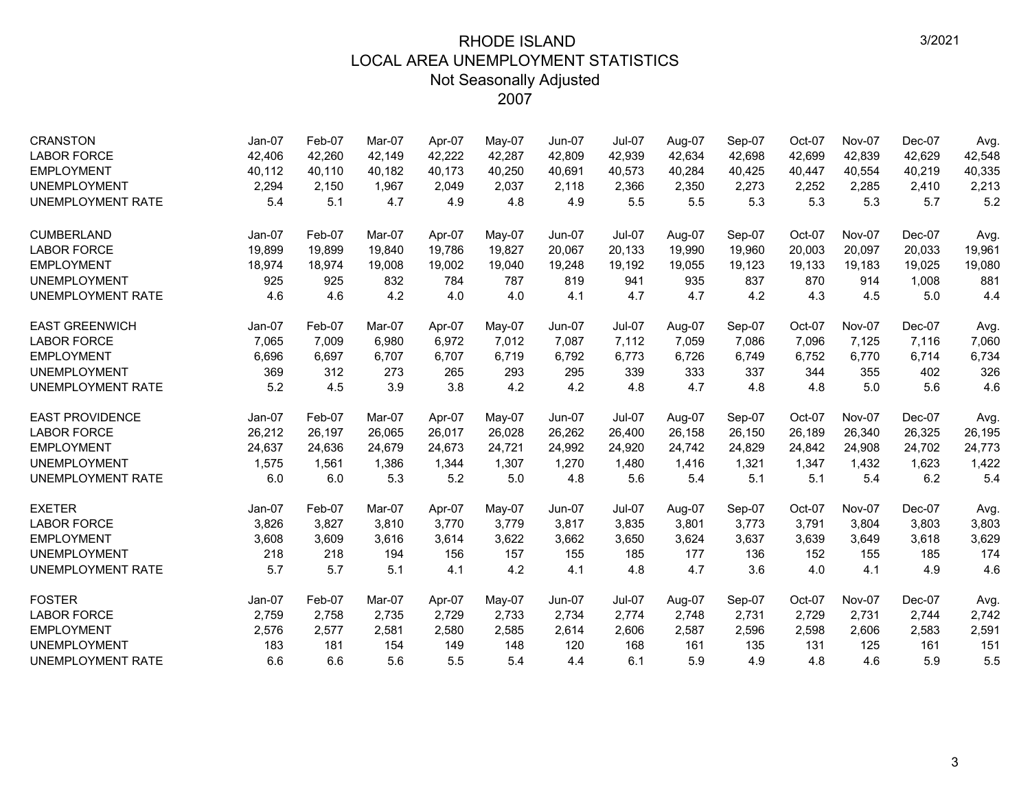| <b>CRANSTON</b>          | $Jan-07$ | Feb-07 | Mar-07 | Apr-07 | May-07 | $Jun-07$      | <b>Jul-07</b> | Aug-07 | Sep-07 | Oct-07 | <b>Nov-07</b> | Dec-07   | Avg.   |
|--------------------------|----------|--------|--------|--------|--------|---------------|---------------|--------|--------|--------|---------------|----------|--------|
| <b>LABOR FORCE</b>       | 42,406   | 42,260 | 42,149 | 42,222 | 42,287 | 42,809        | 42,939        | 42,634 | 42,698 | 42,699 | 42,839        | 42,629   | 42,548 |
| <b>EMPLOYMENT</b>        | 40,112   | 40,110 | 40,182 | 40,173 | 40,250 | 40,691        | 40,573        | 40,284 | 40,425 | 40,447 | 40,554        | 40,219   | 40,335 |
| <b>UNEMPLOYMENT</b>      | 2,294    | 2.150  | 1.967  | 2,049  | 2,037  | 2.118         | 2,366         | 2,350  | 2,273  | 2,252  | 2,285         | 2,410    | 2,213  |
| UNEMPLOYMENT RATE        | 5.4      | 5.1    | 4.7    | 4.9    | 4.8    | 4.9           | 5.5           | 5.5    | 5.3    | 5.3    | 5.3           | 5.7      | 5.2    |
| <b>CUMBERLAND</b>        | $Jan-07$ | Feb-07 | Mar-07 | Apr-07 | May-07 | <b>Jun-07</b> | <b>Jul-07</b> | Aug-07 | Sep-07 | Oct-07 | Nov-07        | Dec-07   | Avg.   |
| <b>LABOR FORCE</b>       | 19,899   | 19,899 | 19,840 | 19,786 | 19,827 | 20,067        | 20,133        | 19,990 | 19,960 | 20,003 | 20,097        | 20,033   | 19,961 |
| <b>EMPLOYMENT</b>        | 18,974   | 18,974 | 19.008 | 19.002 | 19,040 | 19,248        | 19.192        | 19,055 | 19,123 | 19,133 | 19,183        | 19,025   | 19,080 |
| <b>UNEMPLOYMENT</b>      | 925      | 925    | 832    | 784    | 787    | 819           | 941           | 935    | 837    | 870    | 914           | 1,008    | 881    |
| UNEMPLOYMENT RATE        | 4.6      | 4.6    | 4.2    | 4.0    | 4.0    | 4.1           | 4.7           | 4.7    | 4.2    | 4.3    | 4.5           | 5.0      | 4.4    |
| <b>EAST GREENWICH</b>    | Jan-07   | Feb-07 | Mar-07 | Apr-07 | May-07 | <b>Jun-07</b> | <b>Jul-07</b> | Aug-07 | Sep-07 | Oct-07 | <b>Nov-07</b> | $Dec-07$ | Avg.   |
| <b>LABOR FORCE</b>       | 7,065    | 7,009  | 6.980  | 6,972  | 7,012  | 7,087         | 7,112         | 7,059  | 7,086  | 7,096  | 7,125         | 7,116    | 7,060  |
| <b>EMPLOYMENT</b>        | 6,696    | 6,697  | 6,707  | 6,707  | 6,719  | 6,792         | 6,773         | 6,726  | 6,749  | 6,752  | 6,770         | 6,714    | 6,734  |
| <b>UNEMPLOYMENT</b>      | 369      | 312    | 273    | 265    | 293    | 295           | 339           | 333    | 337    | 344    | 355           | 402      | 326    |
| <b>UNEMPLOYMENT RATE</b> | 5.2      | 4.5    | 3.9    | 3.8    | 4.2    | 4.2           | 4.8           | 4.7    | 4.8    | 4.8    | 5.0           | 5.6      | 4.6    |
| <b>EAST PROVIDENCE</b>   | Jan-07   | Feb-07 | Mar-07 | Apr-07 | May-07 | Jun-07        | <b>Jul-07</b> | Aug-07 | Sep-07 | Oct-07 | <b>Nov-07</b> | Dec-07   | Avg.   |
| <b>LABOR FORCE</b>       | 26,212   | 26,197 | 26,065 | 26,017 | 26,028 | 26,262        | 26,400        | 26,158 | 26,150 | 26,189 | 26,340        | 26,325   | 26,195 |
| <b>EMPLOYMENT</b>        | 24,637   | 24,636 | 24.679 | 24.673 | 24,721 | 24,992        | 24,920        | 24,742 | 24,829 | 24,842 | 24.908        | 24,702   | 24,773 |
| <b>UNEMPLOYMENT</b>      | 1,575    | 1,561  | 1,386  | 1,344  | 1,307  | 1,270         | 1,480         | 1,416  | 1,321  | 1,347  | 1,432         | 1,623    | 1,422  |
| UNEMPLOYMENT RATE        | 6.0      | 6.0    | 5.3    | 5.2    | 5.0    | 4.8           | 5.6           | 5.4    | 5.1    | 5.1    | 5.4           | 6.2      | 5.4    |
| <b>EXETER</b>            | Jan-07   | Feb-07 | Mar-07 | Apr-07 | May-07 | Jun-07        | <b>Jul-07</b> | Aug-07 | Sep-07 | Oct-07 | <b>Nov-07</b> | Dec-07   | Avg.   |
| <b>LABOR FORCE</b>       | 3,826    | 3,827  | 3,810  | 3,770  | 3,779  | 3,817         | 3,835         | 3,801  | 3,773  | 3,791  | 3,804         | 3,803    | 3,803  |
| <b>EMPLOYMENT</b>        | 3,608    | 3,609  | 3,616  | 3,614  | 3,622  | 3,662         | 3,650         | 3,624  | 3,637  | 3,639  | 3,649         | 3,618    | 3,629  |
| <b>UNEMPLOYMENT</b>      | 218      | 218    | 194    | 156    | 157    | 155           | 185           | 177    | 136    | 152    | 155           | 185      | 174    |
| UNEMPLOYMENT RATE        | 5.7      | 5.7    | 5.1    | 4.1    | 4.2    | 4.1           | 4.8           | 4.7    | 3.6    | 4.0    | 4.1           | 4.9      | 4.6    |
| <b>FOSTER</b>            | Jan-07   | Feb-07 | Mar-07 | Apr-07 | May-07 | Jun-07        | <b>Jul-07</b> | Aug-07 | Sep-07 | Oct-07 | <b>Nov-07</b> | $Dec-07$ | Avg.   |
| <b>LABOR FORCE</b>       | 2,759    | 2,758  | 2,735  | 2,729  | 2,733  | 2,734         | 2,774         | 2,748  | 2,731  | 2,729  | 2,731         | 2,744    | 2,742  |
| <b>EMPLOYMENT</b>        | 2,576    | 2,577  | 2,581  | 2,580  | 2,585  | 2,614         | 2,606         | 2,587  | 2,596  | 2,598  | 2,606         | 2,583    | 2,591  |
| <b>UNEMPLOYMENT</b>      | 183      | 181    | 154    | 149    | 148    | 120           | 168           | 161    | 135    | 131    | 125           | 161      | 151    |
| <b>UNEMPLOYMENT RATE</b> | 6.6      | 6.6    | 5.6    | 5.5    | 5.4    | 4.4           | 6.1           | 5.9    | 4.9    | 4.8    | 4.6           | 5.9      | 5.5    |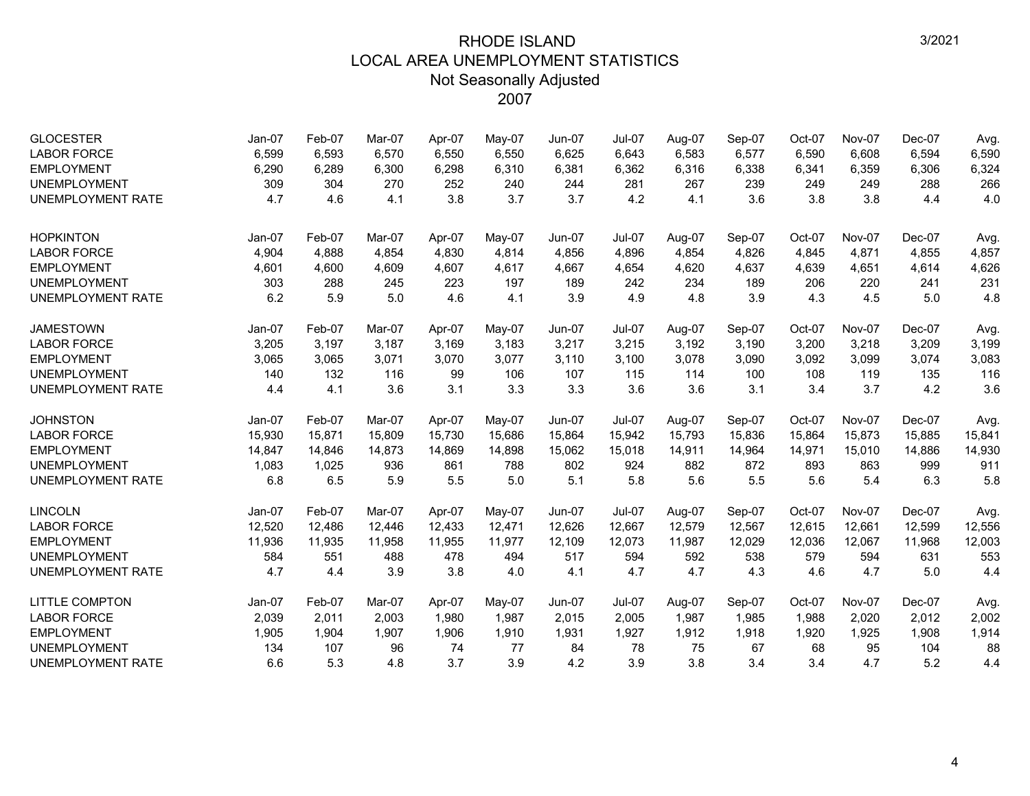| <b>GLOCESTER</b><br><b>LABOR FORCE</b><br><b>EMPLOYMENT</b><br><b>UNEMPLOYMENT</b><br><b>UNEMPLOYMENT RATE</b> | Jan-07<br>6,599<br>6,290<br>309<br>4.7 | Feb-07<br>6,593<br>6,289<br>304<br>4.6 | Mar-07<br>6,570<br>6,300<br>270<br>4.1 | Apr-07<br>6,550<br>6,298<br>252<br>3.8 | May-07<br>6,550<br>6,310<br>240<br>3.7 | Jun-07<br>6,625<br>6,381<br>244<br>3.7 | Jul-07<br>6,643<br>6,362<br>281<br>4.2 | Aug-07<br>6,583<br>6,316<br>267<br>4.1 | Sep-07<br>6,577<br>6,338<br>239<br>3.6 | Oct-07<br>6,590<br>6,341<br>249<br>3.8 | <b>Nov-07</b><br>6,608<br>6,359<br>249<br>3.8 | Dec-07<br>6,594<br>6,306<br>288<br>4.4 | Avg.<br>6,590<br>6,324<br>266<br>4.0 |
|----------------------------------------------------------------------------------------------------------------|----------------------------------------|----------------------------------------|----------------------------------------|----------------------------------------|----------------------------------------|----------------------------------------|----------------------------------------|----------------------------------------|----------------------------------------|----------------------------------------|-----------------------------------------------|----------------------------------------|--------------------------------------|
| <b>HOPKINTON</b><br><b>LABOR FORCE</b>                                                                         | Jan-07<br>4,904                        | Feb-07<br>4,888                        | Mar-07<br>4,854                        | Apr-07<br>4,830                        | May-07<br>4,814                        | <b>Jun-07</b><br>4,856                 | <b>Jul-07</b><br>4,896                 | Aug-07<br>4,854                        | Sep-07<br>4,826                        | Oct-07<br>4,845                        | Nov-07<br>4,871                               | Dec-07<br>4,855                        | Avg.<br>4,857                        |
| <b>EMPLOYMENT</b>                                                                                              | 4,601                                  | 4,600                                  | 4,609                                  | 4,607                                  | 4,617                                  | 4,667                                  | 4,654                                  | 4,620                                  | 4,637                                  | 4,639                                  | 4,651                                         | 4,614                                  | 4,626                                |
| <b>UNEMPLOYMENT</b>                                                                                            | 303                                    | 288                                    | 245                                    | 223                                    | 197                                    | 189                                    | 242                                    | 234                                    | 189                                    | 206                                    | 220                                           | 241                                    | 231                                  |
| <b>UNEMPLOYMENT RATE</b>                                                                                       | 6.2                                    | 5.9                                    | 5.0                                    | 4.6                                    | 4.1                                    | 3.9                                    | 4.9                                    | 4.8                                    | 3.9                                    | 4.3                                    | 4.5                                           | 5.0                                    | 4.8                                  |
| <b>JAMESTOWN</b>                                                                                               | $Jan-07$                               | Feb-07                                 | Mar-07                                 | Apr-07                                 | May-07                                 | $Jun-07$                               | <b>Jul-07</b>                          | Aug-07                                 | Sep-07                                 | Oct-07                                 | <b>Nov-07</b>                                 | $Dec-07$                               | Avg.                                 |
| <b>LABOR FORCE</b>                                                                                             | 3,205                                  | 3,197                                  | 3,187                                  | 3,169                                  | 3,183                                  | 3,217                                  | 3,215                                  | 3,192                                  | 3,190                                  | 3,200                                  | 3,218                                         | 3,209                                  | 3,199                                |
| <b>EMPLOYMENT</b>                                                                                              | 3,065                                  | 3,065                                  | 3,071                                  | 3,070                                  | 3,077                                  | 3,110                                  | 3,100                                  | 3,078                                  | 3,090                                  | 3,092                                  | 3,099                                         | 3,074                                  | 3,083                                |
| <b>UNEMPLOYMENT</b>                                                                                            | 140                                    | 132                                    | 116                                    | 99                                     | 106                                    | 107                                    | 115                                    | 114                                    | 100                                    | 108                                    | 119                                           | 135                                    | 116                                  |
| <b>UNEMPLOYMENT RATE</b>                                                                                       | 4.4                                    | 4.1                                    | 3.6                                    | 3.1                                    | 3.3                                    | 3.3                                    | 3.6                                    | 3.6                                    | 3.1                                    | 3.4                                    | 3.7                                           | 4.2                                    | 3.6                                  |
| <b>JOHNSTON</b>                                                                                                | Jan-07                                 | Feb-07                                 | Mar-07                                 | Apr-07                                 | May-07                                 | Jun-07                                 | <b>Jul-07</b>                          | Aug-07                                 | Sep-07                                 | Oct-07                                 | Nov-07                                        | Dec-07                                 | Avg.                                 |
| <b>LABOR FORCE</b>                                                                                             | 15,930                                 | 15,871                                 | 15,809                                 | 15,730                                 | 15,686                                 | 15,864                                 | 15,942                                 | 15,793                                 | 15,836                                 | 15,864                                 | 15,873                                        | 15,885                                 | 15,841                               |
| <b>EMPLOYMENT</b>                                                                                              | 14,847                                 | 14,846                                 | 14,873                                 | 14,869                                 | 14,898                                 | 15,062                                 | 15,018                                 | 14,911                                 | 14,964                                 | 14,971                                 | 15,010                                        | 14,886                                 | 14,930                               |
| <b>UNEMPLOYMENT</b>                                                                                            | 1,083                                  | 1,025                                  | 936                                    | 861                                    | 788                                    | 802                                    | 924                                    | 882                                    | 872                                    | 893                                    | 863                                           | 999                                    | 911                                  |
| <b>UNEMPLOYMENT RATE</b>                                                                                       | 6.8                                    | 6.5                                    | 5.9                                    | 5.5                                    | 5.0                                    | 5.1                                    | 5.8                                    | 5.6                                    | 5.5                                    | 5.6                                    | 5.4                                           | 6.3                                    | 5.8                                  |
| <b>LINCOLN</b>                                                                                                 | Jan-07                                 | Feb-07                                 | Mar-07                                 | Apr-07                                 | May-07                                 | Jun-07                                 | <b>Jul-07</b>                          | Aug-07                                 | Sep-07                                 | Oct-07                                 | Nov-07                                        | Dec-07                                 | Avg.                                 |
| <b>LABOR FORCE</b>                                                                                             | 12,520                                 | 12,486                                 | 12,446                                 | 12,433                                 | 12,471                                 | 12,626                                 | 12,667                                 | 12,579                                 | 12,567                                 | 12,615                                 | 12,661                                        | 12,599                                 | 12,556                               |
| <b>EMPLOYMENT</b>                                                                                              | 11,936                                 | 11,935                                 | 11,958                                 | 11,955                                 | 11,977                                 | 12,109                                 | 12,073                                 | 11,987                                 | 12,029                                 | 12,036                                 | 12,067                                        | 11,968                                 | 12,003                               |
| <b>UNEMPLOYMENT</b>                                                                                            | 584                                    | 551                                    | 488                                    | 478                                    | 494                                    | 517                                    | 594                                    | 592                                    | 538                                    | 579                                    | 594                                           | 631                                    | 553                                  |
| <b>UNEMPLOYMENT RATE</b>                                                                                       | 4.7                                    | 4.4                                    | 3.9                                    | 3.8                                    | 4.0                                    | 4.1                                    | 4.7                                    | 4.7                                    | 4.3                                    | 4.6                                    | 4.7                                           | 5.0                                    | 4.4                                  |
| <b>LITTLE COMPTON</b>                                                                                          | Jan-07                                 | Feb-07                                 | Mar-07                                 | Apr-07                                 | May-07                                 | Jun-07                                 | <b>Jul-07</b>                          | Aug-07                                 | Sep-07                                 | Oct-07                                 | <b>Nov-07</b>                                 | Dec-07                                 | Avg.                                 |
| <b>LABOR FORCE</b>                                                                                             | 2,039                                  | 2,011                                  | 2,003                                  | 1,980                                  | 1,987                                  | 2,015                                  | 2,005                                  | 1,987                                  | 1,985                                  | 1,988                                  | 2,020                                         | 2,012                                  | 2,002                                |
| <b>EMPLOYMENT</b>                                                                                              | 1,905                                  | 1,904                                  | 1,907                                  | 1,906                                  | 1,910                                  | 1,931                                  | 1,927                                  | 1,912                                  | 1,918                                  | 1,920                                  | 1,925                                         | 1,908                                  | 1,914                                |
| <b>UNEMPLOYMENT</b>                                                                                            | 134                                    | 107                                    | 96                                     | 74                                     | 77                                     | 84                                     | 78                                     | 75                                     | 67                                     | 68                                     | 95                                            | 104                                    | 88                                   |
| <b>UNEMPLOYMENT RATE</b>                                                                                       | 6.6                                    | 5.3                                    | 4.8                                    | 3.7                                    | 3.9                                    | 4.2                                    | 3.9                                    | 3.8                                    | 3.4                                    | 3.4                                    | 4.7                                           | 5.2                                    | 4.4                                  |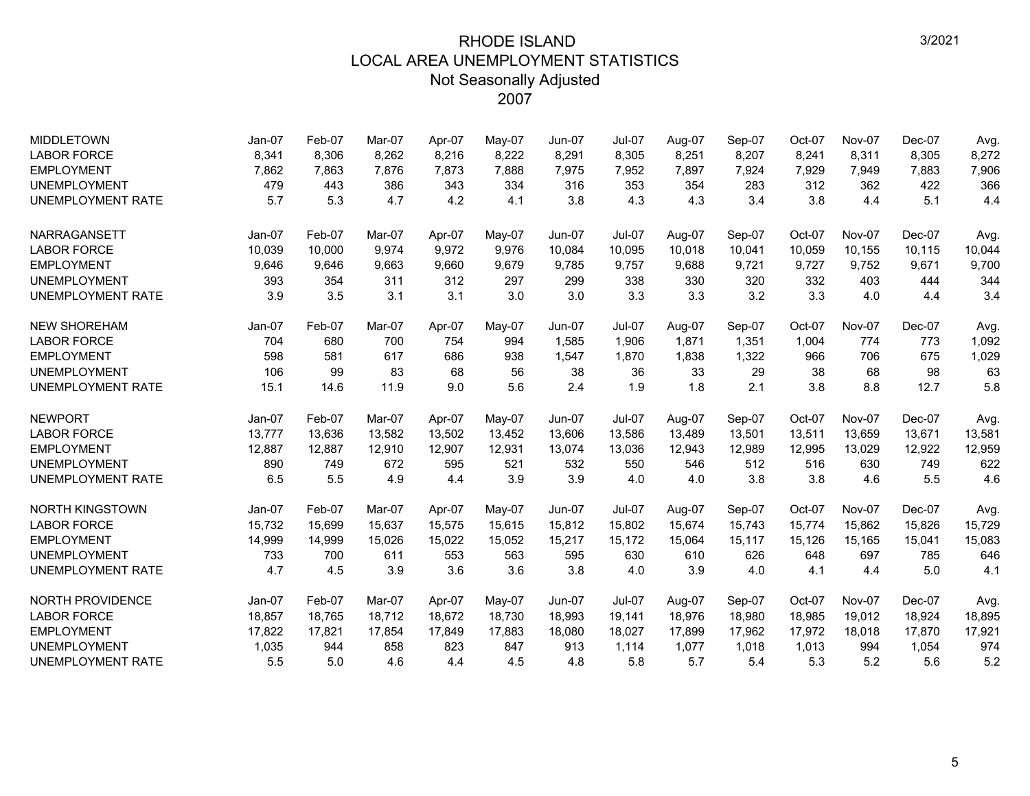| <b>MIDDLETOWN</b>        | $Jan-07$ | Feb-07 | Mar-07 | Apr-07 | May-07   | $Jun-07$      | <b>Jul-07</b> | Aug-07 | Sep-07 | Oct-07 | Nov-07        | Dec-07   | Avg.   |
|--------------------------|----------|--------|--------|--------|----------|---------------|---------------|--------|--------|--------|---------------|----------|--------|
| <b>LABOR FORCE</b>       | 8,341    | 8,306  | 8,262  | 8,216  | 8,222    | 8,291         | 8,305         | 8,251  | 8,207  | 8,241  | 8,311         | 8,305    | 8,272  |
| <b>EMPLOYMENT</b>        | 7,862    | 7,863  | 7,876  | 7,873  | 7,888    | 7,975         | 7,952         | 7,897  | 7,924  | 7,929  | 7,949         | 7,883    | 7,906  |
| <b>UNEMPLOYMENT</b>      | 479      | 443    | 386    | 343    | 334      | 316           | 353           | 354    | 283    | 312    | 362           | 422      | 366    |
| <b>UNEMPLOYMENT RATE</b> | 5.7      | 5.3    | 4.7    | 4.2    | 4.1      | 3.8           | 4.3           | 4.3    | 3.4    | 3.8    | 4.4           | 5.1      | 4.4    |
| NARRAGANSETT             | Jan-07   | Feb-07 | Mar-07 | Apr-07 | $Mav-07$ | Jun-07        | Jul-07        | Aug-07 | Sep-07 | Oct-07 | <b>Nov-07</b> | Dec-07   | Avg.   |
| <b>LABOR FORCE</b>       | 10,039   | 10,000 | 9.974  | 9,972  | 9,976    | 10,084        | 10,095        | 10,018 | 10,041 | 10,059 | 10,155        | 10,115   | 10,044 |
| <b>EMPLOYMENT</b>        | 9,646    | 9,646  | 9,663  | 9,660  | 9,679    | 9,785         | 9,757         | 9,688  | 9,721  | 9,727  | 9,752         | 9,671    | 9,700  |
| <b>UNEMPLOYMENT</b>      | 393      | 354    | 311    | 312    | 297      | 299           | 338           | 330    | 320    | 332    | 403           | 444      | 344    |
| <b>UNEMPLOYMENT RATE</b> | 3.9      | 3.5    | 3.1    | 3.1    | 3.0      | 3.0           | 3.3           | 3.3    | 3.2    | 3.3    | 4.0           | 4.4      | 3.4    |
| <b>NEW SHOREHAM</b>      | $Jan-07$ | Feb-07 | Mar-07 | Apr-07 | May-07   | $Jun-07$      | <b>Jul-07</b> | Aug-07 | Sep-07 | Oct-07 | <b>Nov-07</b> | Dec-07   | Avg.   |
| <b>LABOR FORCE</b>       | 704      | 680    | 700    | 754    | 994      | 1,585         | 1,906         | 1,871  | 1,351  | 1,004  | 774           | 773      | 1,092  |
| <b>EMPLOYMENT</b>        | 598      | 581    | 617    | 686    | 938      | 1,547         | 1,870         | 1,838  | 1,322  | 966    | 706           | 675      | 1,029  |
| <b>UNEMPLOYMENT</b>      | 106      | 99     | 83     | 68     | 56       | 38            | 36            | 33     | 29     | 38     | 68            | 98       | 63     |
| <b>UNEMPLOYMENT RATE</b> | 15.1     | 14.6   | 11.9   | 9.0    | 5.6      | 2.4           | 1.9           | 1.8    | 2.1    | 3.8    | 8.8           | 12.7     | 5.8    |
| <b>NEWPORT</b>           | $Jan-07$ | Feb-07 | Mar-07 | Apr-07 | May-07   | <b>Jun-07</b> | <b>Jul-07</b> | Aug-07 | Sep-07 | Oct-07 | <b>Nov-07</b> | Dec-07   | Avg.   |
| <b>LABOR FORCE</b>       | 13,777   | 13,636 | 13,582 | 13,502 | 13,452   | 13,606        | 13,586        | 13,489 | 13,501 | 13,511 | 13,659        | 13,671   | 13,581 |
| <b>EMPLOYMENT</b>        | 12,887   | 12,887 | 12,910 | 12,907 | 12,931   | 13,074        | 13,036        | 12,943 | 12,989 | 12,995 | 13,029        | 12,922   | 12,959 |
| <b>UNEMPLOYMENT</b>      | 890      | 749    | 672    | 595    | 521      | 532           | 550           | 546    | 512    | 516    | 630           | 749      | 622    |
| <b>UNEMPLOYMENT RATE</b> | 6.5      | 5.5    | 4.9    | 4.4    | 3.9      | 3.9           | 4.0           | 4.0    | 3.8    | 3.8    | 4.6           | 5.5      | 4.6    |
| <b>NORTH KINGSTOWN</b>   | $Jan-07$ | Feb-07 | Mar-07 | Apr-07 | $Mav-07$ | <b>Jun-07</b> | $Jul-07$      | Aug-07 | Sep-07 | Oct-07 | <b>Nov-07</b> | Dec-07   | Avg.   |
| <b>LABOR FORCE</b>       | 15,732   | 15,699 | 15,637 | 15,575 | 15,615   | 15,812        | 15,802        | 15,674 | 15,743 | 15,774 | 15,862        | 15,826   | 15,729 |
| <b>EMPLOYMENT</b>        | 14,999   | 14,999 | 15.026 | 15.022 | 15,052   | 15,217        | 15.172        | 15.064 | 15.117 | 15,126 | 15.165        | 15,041   | 15,083 |
| <b>UNEMPLOYMENT</b>      | 733      | 700    | 611    | 553    | 563      | 595           | 630           | 610    | 626    | 648    | 697           | 785      | 646    |
| <b>UNEMPLOYMENT RATE</b> | 4.7      | 4.5    | 3.9    | 3.6    | 3.6      | 3.8           | 4.0           | 3.9    | 4.0    | 4.1    | 4.4           | 5.0      | 4.1    |
| <b>NORTH PROVIDENCE</b>  | $Jan-07$ | Feb-07 | Mar-07 | Apr-07 | May-07   | Jun-07        | <b>Jul-07</b> | Aug-07 | Sep-07 | Oct-07 | <b>Nov-07</b> | $Dec-07$ | Avg.   |
| <b>LABOR FORCE</b>       | 18,857   | 18,765 | 18,712 | 18,672 | 18,730   | 18,993        | 19,141        | 18,976 | 18,980 | 18,985 | 19,012        | 18,924   | 18,895 |
| <b>EMPLOYMENT</b>        | 17,822   | 17,821 | 17,854 | 17,849 | 17,883   | 18,080        | 18,027        | 17,899 | 17,962 | 17,972 | 18,018        | 17,870   | 17,921 |
| <b>UNEMPLOYMENT</b>      | 1,035    | 944    | 858    | 823    | 847      | 913           | 1,114         | 1,077  | 1,018  | 1,013  | 994           | 1,054    | 974    |
| <b>UNEMPLOYMENT RATE</b> | 5.5      | 5.0    | 4.6    | 4.4    | 4.5      | 4.8           | 5.8           | 5.7    | 5.4    | 5.3    | 5.2           | 5.6      | 5.2    |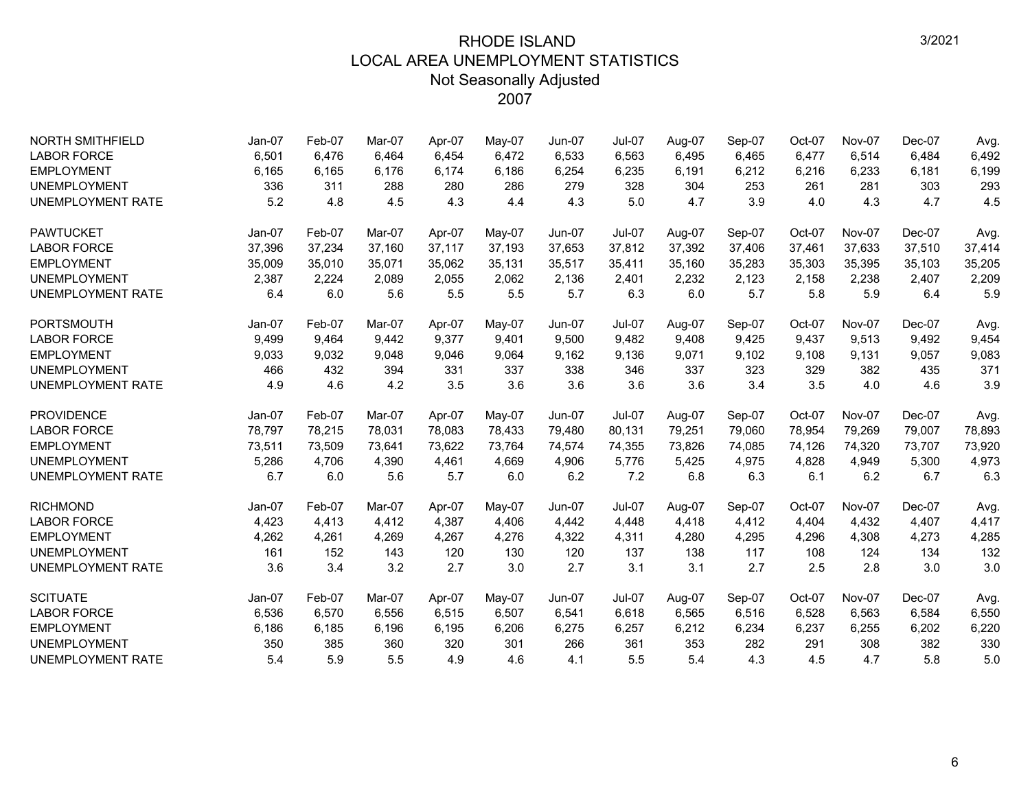| <b>NORTH SMITHFIELD</b>  | Jan-07   | Feb-07 | Mar-07 | Apr-07 | May-07 | <b>Jun-07</b> | <b>Jul-07</b> | Aug-07 | Sep-07 | Oct-07 | Nov-07        | Dec-07 | Avg.   |
|--------------------------|----------|--------|--------|--------|--------|---------------|---------------|--------|--------|--------|---------------|--------|--------|
| <b>LABOR FORCE</b>       | 6,501    | 6,476  | 6.464  | 6,454  | 6,472  | 6,533         | 6,563         | 6,495  | 6,465  | 6,477  | 6,514         | 6.484  | 6,492  |
| <b>EMPLOYMENT</b>        | 6,165    | 6,165  | 6,176  | 6,174  | 6,186  | 6,254         | 6,235         | 6,191  | 6,212  | 6,216  | 6,233         | 6,181  | 6,199  |
| <b>UNEMPLOYMENT</b>      | 336      | 311    | 288    | 280    | 286    | 279           | 328           | 304    | 253    | 261    | 281           | 303    | 293    |
| <b>UNEMPLOYMENT RATE</b> | 5.2      | 4.8    | 4.5    | 4.3    | 4.4    | 4.3           | 5.0           | 4.7    | 3.9    | 4.0    | 4.3           | 4.7    | 4.5    |
| <b>PAWTUCKET</b>         | $Jan-07$ | Feb-07 | Mar-07 | Apr-07 | May-07 | Jun-07        | $Jul-07$      | Aug-07 | Sep-07 | Oct-07 | <b>Nov-07</b> | Dec-07 | Avg.   |
| <b>LABOR FORCE</b>       | 37,396   | 37,234 | 37,160 | 37,117 | 37,193 | 37,653        | 37,812        | 37,392 | 37,406 | 37,461 | 37,633        | 37,510 | 37,414 |
| <b>EMPLOYMENT</b>        | 35,009   | 35,010 | 35,071 | 35,062 | 35,131 | 35,517        | 35,411        | 35,160 | 35,283 | 35,303 | 35,395        | 35,103 | 35,205 |
| <b>UNEMPLOYMENT</b>      | 2,387    | 2,224  | 2,089  | 2,055  | 2,062  | 2,136         | 2,401         | 2,232  | 2,123  | 2,158  | 2,238         | 2,407  | 2,209  |
| <b>UNEMPLOYMENT RATE</b> | 6.4      | 6.0    | 5.6    | 5.5    | 5.5    | 5.7           | 6.3           | 6.0    | 5.7    | 5.8    | 5.9           | 6.4    | 5.9    |
| <b>PORTSMOUTH</b>        | $Jan-07$ | Feb-07 | Mar-07 | Apr-07 | May-07 | <b>Jun-07</b> | <b>Jul-07</b> | Aug-07 | Sep-07 | Oct-07 | <b>Nov-07</b> | Dec-07 | Avg.   |
| <b>LABOR FORCE</b>       | 9,499    | 9,464  | 9,442  | 9,377  | 9,401  | 9,500         | 9,482         | 9,408  | 9,425  | 9,437  | 9,513         | 9,492  | 9,454  |
| <b>EMPLOYMENT</b>        | 9,033    | 9,032  | 9,048  | 9,046  | 9,064  | 9,162         | 9,136         | 9,071  | 9,102  | 9,108  | 9,131         | 9,057  | 9,083  |
| <b>UNEMPLOYMENT</b>      | 466      | 432    | 394    | 331    | 337    | 338           | 346           | 337    | 323    | 329    | 382           | 435    | 371    |
| <b>UNEMPLOYMENT RATE</b> | 4.9      | 4.6    | 4.2    | 3.5    | 3.6    | 3.6           | 3.6           | 3.6    | 3.4    | 3.5    | 4.0           | 4.6    | 3.9    |
| <b>PROVIDENCE</b>        | Jan-07   | Feb-07 | Mar-07 | Apr-07 | May-07 | Jun-07        | <b>Jul-07</b> | Aug-07 | Sep-07 | Oct-07 | <b>Nov-07</b> | Dec-07 | Avg.   |
| <b>LABOR FORCE</b>       | 78,797   | 78,215 | 78,031 | 78,083 | 78,433 | 79,480        | 80,131        | 79,251 | 79,060 | 78,954 | 79.269        | 79,007 | 78,893 |
| <b>EMPLOYMENT</b>        | 73,511   | 73,509 | 73.641 | 73.622 | 73.764 | 74.574        | 74.355        | 73.826 | 74,085 | 74,126 | 74.320        | 73.707 | 73,920 |
| <b>UNEMPLOYMENT</b>      | 5,286    | 4,706  | 4,390  | 4,461  | 4,669  | 4,906         | 5,776         | 5,425  | 4,975  | 4,828  | 4,949         | 5,300  | 4,973  |
| <b>UNEMPLOYMENT RATE</b> | 6.7      | 6.0    | 5.6    | 5.7    | 6.0    | 6.2           | 7.2           | 6.8    | 6.3    | 6.1    | 6.2           | 6.7    | 6.3    |
| <b>RICHMOND</b>          | Jan-07   | Feb-07 | Mar-07 | Apr-07 | May-07 | <b>Jun-07</b> | <b>Jul-07</b> | Aug-07 | Sep-07 | Oct-07 | <b>Nov-07</b> | Dec-07 | Avg.   |
| <b>LABOR FORCE</b>       | 4,423    | 4,413  | 4,412  | 4,387  | 4,406  | 4,442         | 4,448         | 4,418  | 4,412  | 4,404  | 4,432         | 4,407  | 4,417  |
| <b>EMPLOYMENT</b>        | 4,262    | 4,261  | 4,269  | 4,267  | 4,276  | 4,322         | 4,311         | 4,280  | 4,295  | 4,296  | 4,308         | 4,273  | 4,285  |
| <b>UNEMPLOYMENT</b>      | 161      | 152    | 143    | 120    | 130    | 120           | 137           | 138    | 117    | 108    | 124           | 134    | 132    |
| <b>UNEMPLOYMENT RATE</b> | 3.6      | 3.4    | 3.2    | 2.7    | 3.0    | 2.7           | 3.1           | 3.1    | 2.7    | 2.5    | 2.8           | 3.0    | 3.0    |
| <b>SCITUATE</b>          | $Jan-07$ | Feb-07 | Mar-07 | Apr-07 | May-07 | <b>Jun-07</b> | <b>Jul-07</b> | Aug-07 | Sep-07 | Oct-07 | Nov-07        | Dec-07 | Avg.   |
| <b>LABOR FORCE</b>       | 6,536    | 6,570  | 6,556  | 6,515  | 6,507  | 6,541         | 6,618         | 6,565  | 6,516  | 6,528  | 6,563         | 6,584  | 6,550  |
| <b>EMPLOYMENT</b>        | 6,186    | 6,185  | 6,196  | 6,195  | 6,206  | 6,275         | 6,257         | 6,212  | 6,234  | 6,237  | 6,255         | 6,202  | 6,220  |
| <b>UNEMPLOYMENT</b>      | 350      | 385    | 360    | 320    | 301    | 266           | 361           | 353    | 282    | 291    | 308           | 382    | 330    |
| <b>UNEMPLOYMENT RATE</b> | 5.4      | 5.9    | 5.5    | 4.9    | 4.6    | 4.1           | 5.5           | 5.4    | 4.3    | 4.5    | 4.7           | 5.8    | 5.0    |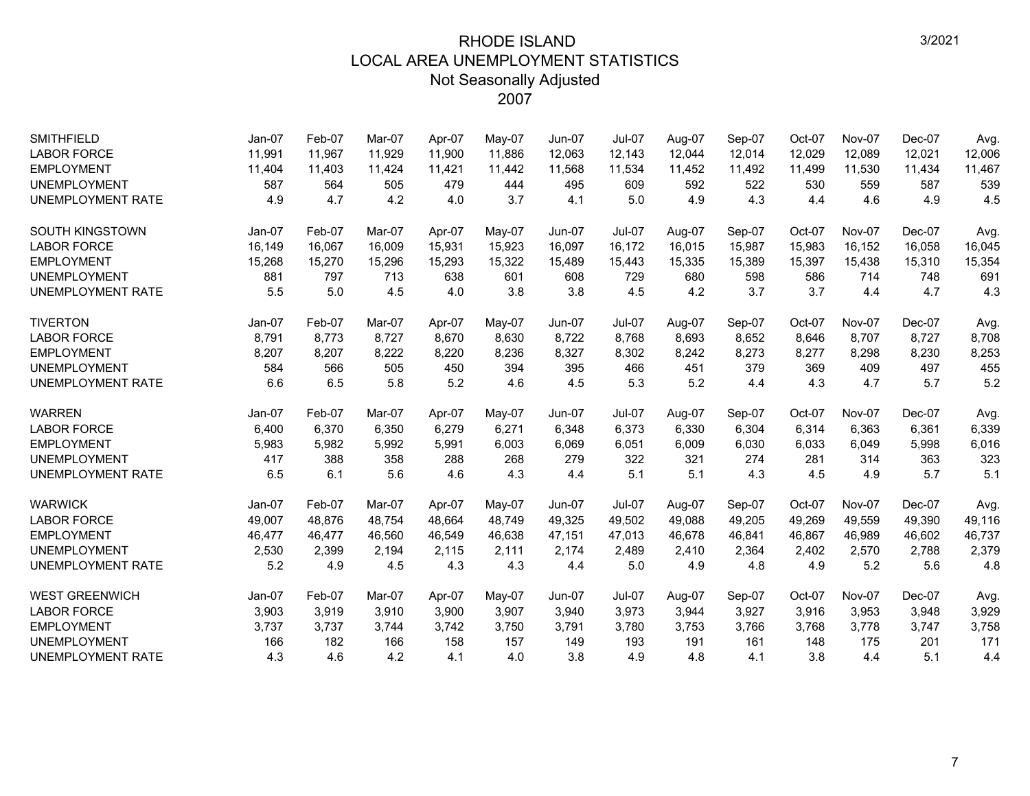| <b>SMITHFIELD</b>        | Jan-07   | Feb-07 | Mar-07 | Apr-07 | May-07 | Jun-07        | Jul-07        | Aug-07 | Sep-07 | Oct-07 | <b>Nov-07</b> | Dec-07 | Avg.   |
|--------------------------|----------|--------|--------|--------|--------|---------------|---------------|--------|--------|--------|---------------|--------|--------|
| <b>LABOR FORCE</b>       | 11,991   | 11,967 | 11.929 | 11,900 | 11,886 | 12,063        | 12,143        | 12,044 | 12,014 | 12,029 | 12.089        | 12,021 | 12,006 |
| <b>EMPLOYMENT</b>        | 11,404   | 11,403 | 11,424 | 11,421 | 11,442 | 11,568        | 11,534        | 11,452 | 11,492 | 11,499 | 11,530        | 11,434 | 11,467 |
| <b>UNEMPLOYMENT</b>      | 587      | 564    | 505    | 479    | 444    | 495           | 609           | 592    | 522    | 530    | 559           | 587    | 539    |
| <b>UNEMPLOYMENT RATE</b> | 4.9      | 4.7    | 4.2    | 4.0    | 3.7    | 4.1           | 5.0           | 4.9    | 4.3    | 4.4    | 4.6           | 4.9    | 4.5    |
| <b>SOUTH KINGSTOWN</b>   | $Jan-07$ | Feb-07 | Mar-07 | Apr-07 | May-07 | Jun-07        | $Jul-07$      | Aug-07 | Sep-07 | Oct-07 | <b>Nov-07</b> | Dec-07 | Avg.   |
| <b>LABOR FORCE</b>       | 16,149   | 16,067 | 16,009 | 15,931 | 15,923 | 16,097        | 16,172        | 16,015 | 15,987 | 15,983 | 16,152        | 16,058 | 16,045 |
| <b>EMPLOYMENT</b>        | 15,268   | 15,270 | 15,296 | 15,293 | 15,322 | 15,489        | 15,443        | 15,335 | 15,389 | 15,397 | 15,438        | 15,310 | 15,354 |
| <b>UNEMPLOYMENT</b>      | 881      | 797    | 713    | 638    | 601    | 608           | 729           | 680    | 598    | 586    | 714           | 748    | 691    |
| <b>UNEMPLOYMENT RATE</b> | 5.5      | 5.0    | 4.5    | 4.0    | 3.8    | 3.8           | 4.5           | 4.2    | 3.7    | 3.7    | 4.4           | 4.7    | 4.3    |
| <b>TIVERTON</b>          | Jan-07   | Feb-07 | Mar-07 | Apr-07 | May-07 | Jun-07        | <b>Jul-07</b> | Aug-07 | Sep-07 | Oct-07 | <b>Nov-07</b> | Dec-07 | Avg.   |
| <b>LABOR FORCE</b>       | 8,791    | 8,773  | 8,727  | 8,670  | 8,630  | 8,722         | 8,768         | 8,693  | 8,652  | 8,646  | 8,707         | 8,727  | 8,708  |
| <b>EMPLOYMENT</b>        | 8,207    | 8,207  | 8,222  | 8,220  | 8,236  | 8,327         | 8,302         | 8,242  | 8,273  | 8,277  | 8,298         | 8,230  | 8,253  |
| <b>UNEMPLOYMENT</b>      | 584      | 566    | 505    | 450    | 394    | 395           | 466           | 451    | 379    | 369    | 409           | 497    | 455    |
| <b>UNEMPLOYMENT RATE</b> | 6.6      | 6.5    | 5.8    | 5.2    | 4.6    | 4.5           | 5.3           | 5.2    | 4.4    | 4.3    | 4.7           | 5.7    | 5.2    |
| <b>WARREN</b>            | $Jan-07$ | Feb-07 | Mar-07 | Apr-07 | May-07 | <b>Jun-07</b> | <b>Jul-07</b> | Aug-07 | Sep-07 | Oct-07 | <b>Nov-07</b> | Dec-07 | Avg.   |
| <b>LABOR FORCE</b>       | 6,400    | 6,370  | 6.350  | 6,279  | 6,271  | 6,348         | 6,373         | 6,330  | 6,304  | 6,314  | 6,363         | 6,361  | 6,339  |
| <b>EMPLOYMENT</b>        | 5,983    | 5,982  | 5,992  | 5,991  | 6,003  | 6,069         | 6,051         | 6,009  | 6,030  | 6,033  | 6,049         | 5,998  | 6,016  |
| <b>UNEMPLOYMENT</b>      | 417      | 388    | 358    | 288    | 268    | 279           | 322           | 321    | 274    | 281    | 314           | 363    | 323    |
| <b>UNEMPLOYMENT RATE</b> | 6.5      | 6.1    | 5.6    | 4.6    | 4.3    | 4.4           | 5.1           | 5.1    | 4.3    | 4.5    | 4.9           | 5.7    | 5.1    |
| <b>WARWICK</b>           | Jan-07   | Feb-07 | Mar-07 | Apr-07 | May-07 | <b>Jun-07</b> | <b>Jul-07</b> | Aug-07 | Sep-07 | Oct-07 | <b>Nov-07</b> | Dec-07 | Avg.   |
| <b>LABOR FORCE</b>       | 49,007   | 48,876 | 48,754 | 48,664 | 48,749 | 49,325        | 49,502        | 49,088 | 49,205 | 49,269 | 49,559        | 49,390 | 49,116 |
| <b>EMPLOYMENT</b>        | 46,477   | 46,477 | 46.560 | 46,549 | 46,638 | 47.151        | 47,013        | 46,678 | 46,841 | 46,867 | 46,989        | 46,602 | 46,737 |
| <b>UNEMPLOYMENT</b>      | 2,530    | 2,399  | 2,194  | 2,115  | 2,111  | 2,174         | 2,489         | 2,410  | 2,364  | 2,402  | 2,570         | 2,788  | 2,379  |
| <b>UNEMPLOYMENT RATE</b> | 5.2      | 4.9    | 4.5    | 4.3    | 4.3    | 4.4           | 5.0           | 4.9    | 4.8    | 4.9    | 5.2           | 5.6    | 4.8    |
| <b>WEST GREENWICH</b>    | $Jan-07$ | Feb-07 | Mar-07 | Apr-07 | May-07 | <b>Jun-07</b> | $Jul-07$      | Aug-07 | Sep-07 | Oct-07 | <b>Nov-07</b> | Dec-07 | Avg.   |
| <b>LABOR FORCE</b>       | 3,903    | 3,919  | 3,910  | 3,900  | 3,907  | 3,940         | 3,973         | 3,944  | 3,927  | 3,916  | 3,953         | 3,948  | 3,929  |
| <b>EMPLOYMENT</b>        | 3,737    | 3,737  | 3,744  | 3,742  | 3,750  | 3,791         | 3,780         | 3,753  | 3,766  | 3,768  | 3,778         | 3,747  | 3,758  |
| <b>UNEMPLOYMENT</b>      | 166      | 182    | 166    | 158    | 157    | 149           | 193           | 191    | 161    | 148    | 175           | 201    | 171    |
| <b>UNEMPLOYMENT RATE</b> | 4.3      | 4.6    | 4.2    | 4.1    | 4.0    | 3.8           | 4.9           | 4.8    | 4.1    | 3.8    | 4.4           | 5.1    | 4.4    |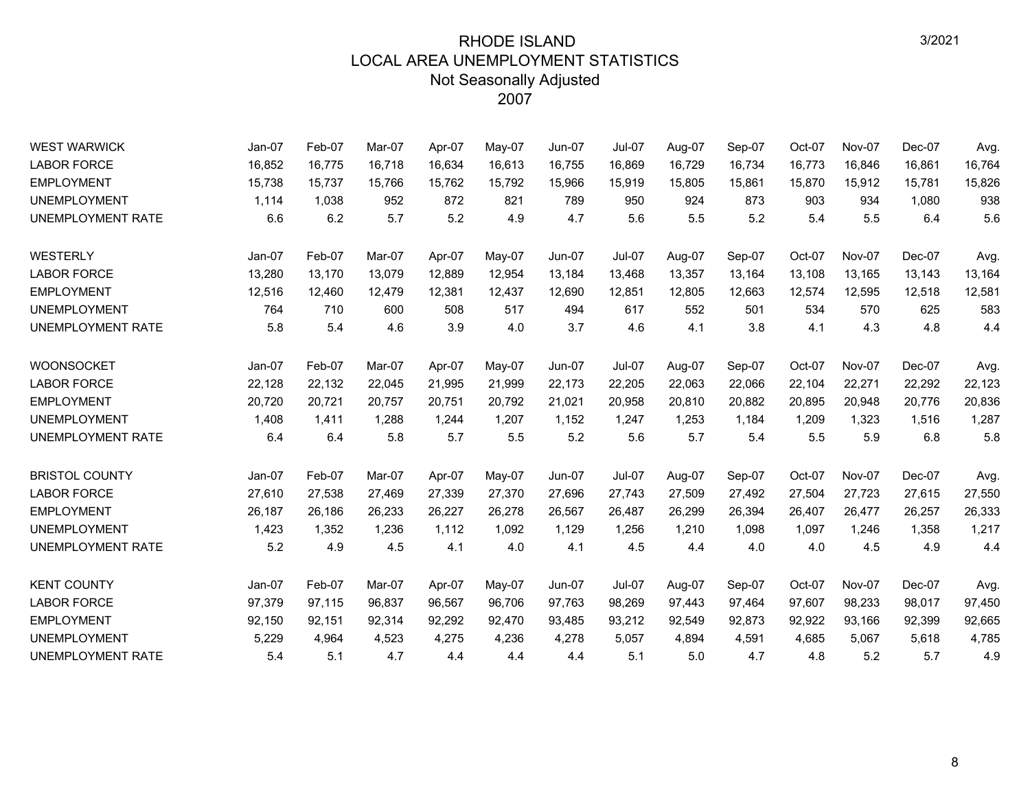| <b>WEST WARWICK</b>      | $Jan-07$ | Feb-07 | Mar-07 | Apr-07 | May-07 | <b>Jun-07</b> | <b>Jul-07</b> | Aug-07 | Sep-07 | Oct-07 | <b>Nov-07</b> | Dec-07 | Avg.   |
|--------------------------|----------|--------|--------|--------|--------|---------------|---------------|--------|--------|--------|---------------|--------|--------|
| <b>LABOR FORCE</b>       | 16,852   | 16,775 | 16,718 | 16,634 | 16,613 | 16,755        | 16,869        | 16,729 | 16,734 | 16,773 | 16,846        | 16,861 | 16,764 |
| <b>EMPLOYMENT</b>        | 15,738   | 15,737 | 15,766 | 15,762 | 15,792 | 15,966        | 15,919        | 15,805 | 15,861 | 15,870 | 15,912        | 15,781 | 15,826 |
| <b>UNEMPLOYMENT</b>      | 1,114    | 1,038  | 952    | 872    | 821    | 789           | 950           | 924    | 873    | 903    | 934           | 1,080  | 938    |
| UNEMPLOYMENT RATE        | 6.6      | 6.2    | 5.7    | 5.2    | 4.9    | 4.7           | 5.6           | 5.5    | 5.2    | 5.4    | 5.5           | 6.4    | 5.6    |
| WESTERLY                 | Jan-07   | Feb-07 | Mar-07 | Apr-07 | May-07 | <b>Jun-07</b> | Jul-07        | Aug-07 | Sep-07 | Oct-07 | <b>Nov-07</b> | Dec-07 | Avg.   |
| <b>LABOR FORCE</b>       | 13,280   | 13,170 | 13,079 | 12,889 | 12,954 | 13,184        | 13,468        | 13,357 | 13,164 | 13,108 | 13,165        | 13,143 | 13,164 |
| <b>EMPLOYMENT</b>        | 12,516   | 12,460 | 12,479 | 12,381 | 12,437 | 12,690        | 12,851        | 12,805 | 12,663 | 12,574 | 12,595        | 12,518 | 12,581 |
| <b>UNEMPLOYMENT</b>      | 764      | 710    | 600    | 508    | 517    | 494           | 617           | 552    | 501    | 534    | 570           | 625    | 583    |
| UNEMPLOYMENT RATE        | 5.8      | 5.4    | 4.6    | 3.9    | 4.0    | 3.7           | 4.6           | 4.1    | 3.8    | 4.1    | 4.3           | 4.8    | 4.4    |
| <b>WOONSOCKET</b>        | Jan-07   | Feb-07 | Mar-07 | Apr-07 | May-07 | <b>Jun-07</b> | Jul-07        | Aug-07 | Sep-07 | Oct-07 | <b>Nov-07</b> | Dec-07 | Avg.   |
| <b>LABOR FORCE</b>       | 22,128   | 22,132 | 22,045 | 21,995 | 21,999 | 22,173        | 22,205        | 22,063 | 22,066 | 22,104 | 22,271        | 22,292 | 22,123 |
| <b>EMPLOYMENT</b>        | 20,720   | 20,721 | 20,757 | 20,751 | 20,792 | 21,021        | 20,958        | 20,810 | 20,882 | 20,895 | 20,948        | 20,776 | 20,836 |
| <b>UNEMPLOYMENT</b>      | 1,408    | 1,411  | 1,288  | 1,244  | 1,207  | 1,152         | 1,247         | 1,253  | 1,184  | 1,209  | 1,323         | 1,516  | 1,287  |
| <b>UNEMPLOYMENT RATE</b> | 6.4      | 6.4    | 5.8    | 5.7    | 5.5    | 5.2           | 5.6           | 5.7    | 5.4    | 5.5    | 5.9           | 6.8    | 5.8    |
| <b>BRISTOL COUNTY</b>    | $Jan-07$ | Feb-07 | Mar-07 | Apr-07 | May-07 | <b>Jun-07</b> | Jul-07        | Aug-07 | Sep-07 | Oct-07 | <b>Nov-07</b> | Dec-07 | Avg.   |
| <b>LABOR FORCE</b>       | 27,610   | 27,538 | 27,469 | 27,339 | 27,370 | 27,696        | 27,743        | 27,509 | 27,492 | 27,504 | 27,723        | 27,615 | 27,550 |
| <b>EMPLOYMENT</b>        | 26,187   | 26,186 | 26,233 | 26,227 | 26,278 | 26,567        | 26,487        | 26,299 | 26,394 | 26,407 | 26,477        | 26,257 | 26,333 |
| <b>UNEMPLOYMENT</b>      | 1,423    | 1,352  | 1,236  | 1,112  | 1,092  | 1,129         | 1,256         | 1,210  | 1,098  | 1,097  | 1,246         | 1,358  | 1,217  |
| UNEMPLOYMENT RATE        | 5.2      | 4.9    | 4.5    | 4.1    | 4.0    | 4.1           | 4.5           | 4.4    | 4.0    | 4.0    | 4.5           | 4.9    | 4.4    |
| <b>KENT COUNTY</b>       | Jan-07   | Feb-07 | Mar-07 | Apr-07 | May-07 | Jun-07        | Jul-07        | Aug-07 | Sep-07 | Oct-07 | Nov-07        | Dec-07 | Avg.   |
| <b>LABOR FORCE</b>       | 97,379   | 97,115 | 96,837 | 96,567 | 96,706 | 97,763        | 98,269        | 97,443 | 97,464 | 97,607 | 98,233        | 98,017 | 97,450 |
| <b>EMPLOYMENT</b>        | 92,150   | 92,151 | 92,314 | 92,292 | 92,470 | 93,485        | 93,212        | 92,549 | 92,873 | 92,922 | 93,166        | 92,399 | 92,665 |
| <b>UNEMPLOYMENT</b>      | 5,229    | 4,964  | 4,523  | 4,275  | 4,236  | 4,278         | 5,057         | 4,894  | 4,591  | 4,685  | 5,067         | 5,618  | 4,785  |
| UNEMPLOYMENT RATE        | 5.4      | 5.1    | 4.7    | 4.4    | 4.4    | 4.4           | 5.1           | 5.0    | 4.7    | 4.8    | 5.2           | 5.7    | 4.9    |